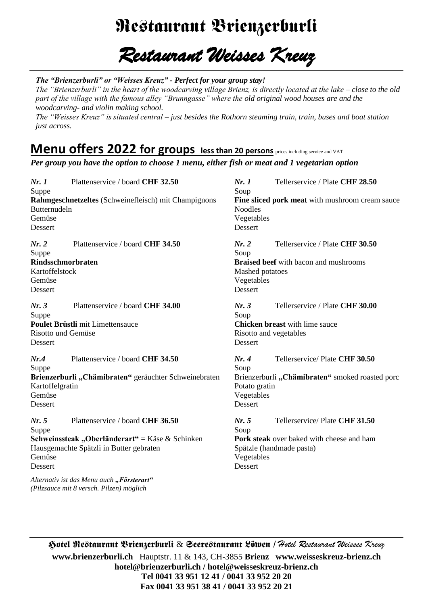## Restaurant Brienzerburli

#### *Restaurant Weisses Kreuz*

*The "Brienzerburli" or "Weisses Kreuz" - Perfect for your group stay!*

*The "Brienzerburli" in the heart of the woodcarving village Brienz, is directly located at the lake – close to the old part of the village with the famous alley "Brunngasse" where the old original wood houses are and the woodcarving- and violin making school.* 

*The "Weisses Kreuz" is situated central – just besides the Rothorn steaming train, train, buses and boat station just across.* 

#### **Menu offers 2022 for groups less than 20 persons** prices including service and VAT

*Per group you have the option to choose 1 menu, either fish or meat and 1 vegetarian option*

*Nr. 1* Plattenservice / board **CHF 32.50** *Nr. 1* Tellerservice / Plate **CHF 28.50** Suppe Soup **Rahmgeschnetzeltes** (Schweinefleisch) mit Champignons **Fine sliced pork meat** with mushroom cream sauce Noodles Butternudeln Gemüse Vegetables<br>Dessert Dessert Dessert Dessert *Nr. 2* Plattenservice / board **CHF 34.50** *Nr. 2* Tellerservice / Plate **CHF 30.50** Suppe Soup **Rindsschmorbraten Braised beef** with bacon and mushrooms Kartoffelstock **Mashed potatoes Mashed potatoes** Gemüse Vegetables Dessert Dessert *Nr. 3* Plattenservice / board **CHF 34.00** *Nr. 3* Tellerservice / Plate **CHF 30.00** Suppe Soup **Poulet Brüstli** mit Limettensauce **Chicken breast** with lime sauce Risotto und Gemüse **Risotto and vegetables** Dessert Dessert *Nr.4* Plattenservice / board **CHF 34.50** *Nr. 4* Tellerservice/ Plate **CHF 30.50** Suppe Soup **Brienzerburli "Chämibraten"** geräuchter Schweinebraten Brienzerburli **"Chämibraten"** smoked roasted porc Kartoffelgratin Potato gratin Gemüse **Vegetables** Dessert Dessert *Nr. 5* Plattenservice / board **CHF 36.50** *Nr. 5* Tellerservice/ Plate **CHF 31.50** Suppe Soup **Schweinssteak "Oberländerart"** = Käse & Schinken **Pork steak** over baked with cheese and ham Hausgemachte Spätzli in Butter gebraten Spätzle (handmade pasta) Gemüse Vegetables Dessert Dessert *Alternativ ist das Menu auch "Försterart" (Pilzsauce mit 8 versch. Pilzen) möglich*

& *Hotel Restaurant Weisses Kreuz* **[www.brienzerburli.ch](http://www.brienzerburli.ch/)** Hauptstr. 11 & 143, CH-3855 **Brienz [www.weisseskreuz-brienz.ch](http://www.weisseskreuz-brienz.c/) hotel@brienzerburli.ch / hotel@weisseskreuz-brienz.ch Tel 0041 33 951 12 41 / 0041 33 952 20 20 Fax 0041 33 951 38 41 / 0041 33 952 20 21**